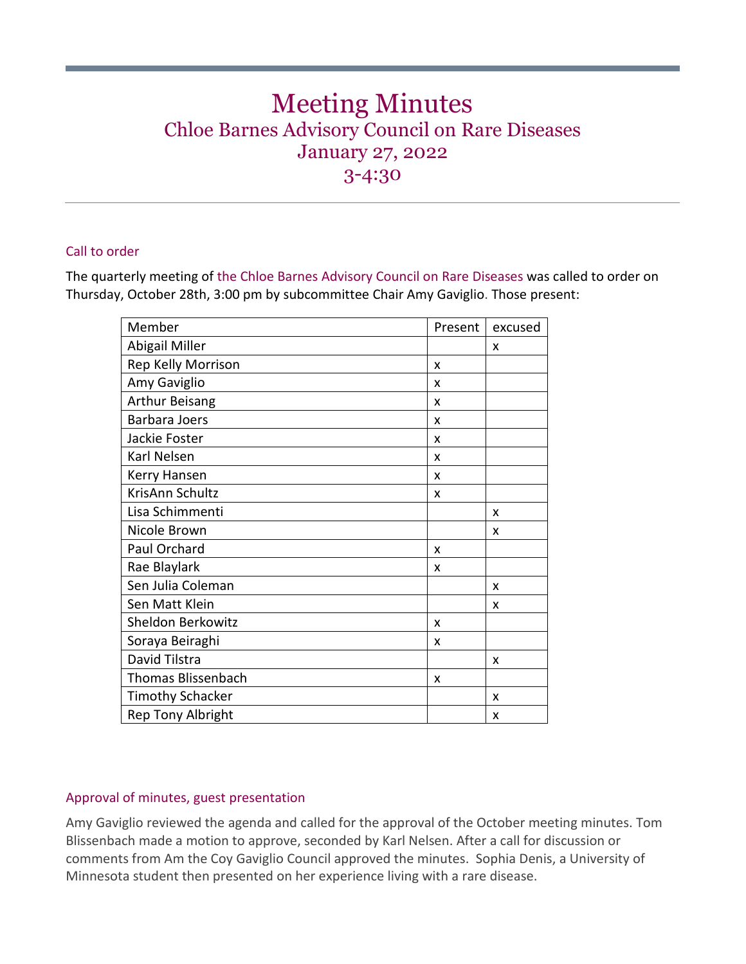# Meeting Minutes Chloe Barnes Advisory Council on Rare Diseases January 27, 2022 3-4:30

## Call to order

The quarterly meeting of the Chloe Barnes Advisory Council on Rare Diseases was called to order on Thursday, October 28th, 3:00 pm by subcommittee Chair Amy Gaviglio. Those present:

| Member                    | Present | excused |
|---------------------------|---------|---------|
| Abigail Miller            |         | X       |
| Rep Kelly Morrison        | X       |         |
| Amy Gaviglio              | x       |         |
| <b>Arthur Beisang</b>     | X       |         |
| Barbara Joers             | x       |         |
| Jackie Foster             | X       |         |
| Karl Nelsen               | x       |         |
| Kerry Hansen              | X       |         |
| KrisAnn Schultz           | X       |         |
| Lisa Schimmenti           |         | X       |
| Nicole Brown              |         | X       |
| Paul Orchard              | x       |         |
| Rae Blaylark              | x       |         |
| Sen Julia Coleman         |         | X       |
| Sen Matt Klein            |         | x       |
| Sheldon Berkowitz         | X       |         |
| Soraya Beiraghi           | X       |         |
| David Tilstra             |         | X       |
| <b>Thomas Blissenbach</b> | x       |         |
| <b>Timothy Schacker</b>   |         | X       |
| <b>Rep Tony Albright</b>  |         | x       |

## Approval of minutes, guest presentation

Amy Gaviglio reviewed the agenda and called for the approval of the October meeting minutes. Tom Blissenbach made a motion to approve, seconded by Karl Nelsen. After a call for discussion or comments from Am the Coy Gaviglio Council approved the minutes. Sophia Denis, a University of Minnesota student then presented on her experience living with a rare disease.